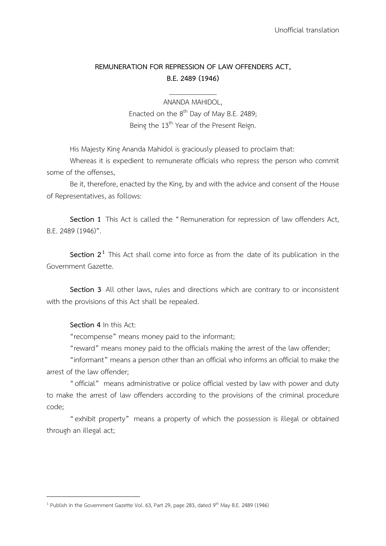## **REMUNERATION FOR REPRESSION OF LAW OFFENDERS ACT, B.E. 2489 (1946)**

\_\_\_\_\_\_\_\_\_\_\_\_\_

ANANDA MAHIDOL, Enacted on the 8<sup>th</sup> Day of May B.E. 2489; Being the 13<sup>th</sup> Year of the Present Reign.

His Majesty King Ananda Mahidol is graciously pleased to proclaim that:

Whereas it is expedient to remunerate officials who repress the person who commit some of the offenses,

Be it, therefore, enacted by the King, by and with the advice and consent of the House of Representatives, as follows:

**Section 1** This Act is called the "Remuneration for repression of law offenders Act, B.E. 2489 (1946)".

**Section 2<sup>1</sup>** This Act shall come into force as from the date of its publication in the Government Gazette.

**Section 3** All other laws, rules and directions which are contrary to or inconsistent with the provisions of this Act shall be repealed.

**Section 4** In this Act:

-

"recompense" means money paid to the informant;

"reward" means money paid to the officials making the arrest of the law offender;

"informant" means a person other than an official who informs an official to make the arrest of the law offender;

"official" means administrative or police official vested by law with power and duty to make the arrest of law offenders according to the provisions of the criminal procedure code;

"exhibit property" means a property of which the possession is illegal or obtained through an illegal act;

<sup>&</sup>lt;sup>1</sup> Publish in the Government Gazette Vol. 63, Part 29, page 283, dated 9<sup>th</sup> May B.E. 2489 (1946)